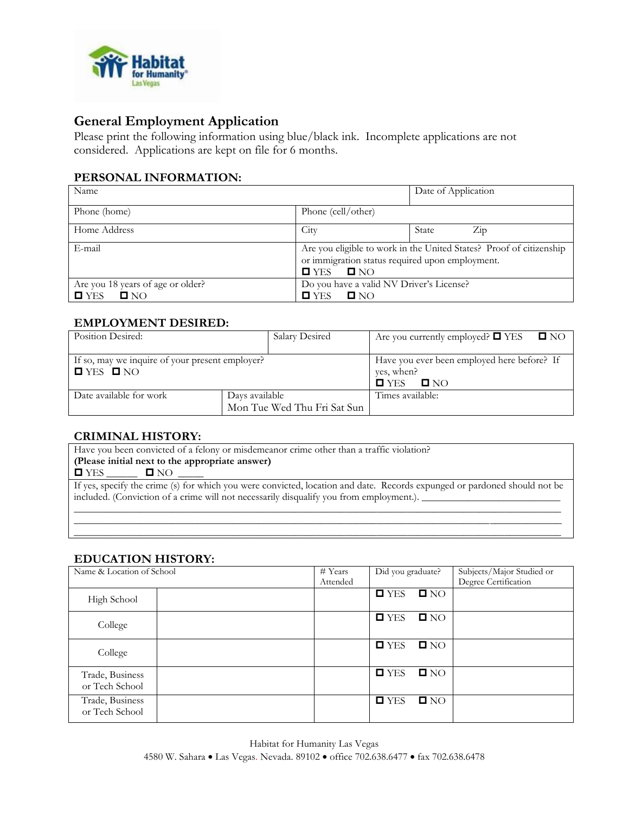

# **General Employment Application**

Please print the following information using blue/black ink. Incomplete applications are not considered. Applications are kept on file for 6 months.

# **PERSONAL INFORMATION:**

| Name                                                                         |                                                                                                                                                                   | Date of Application |           |
|------------------------------------------------------------------------------|-------------------------------------------------------------------------------------------------------------------------------------------------------------------|---------------------|-----------|
| Phone (home)                                                                 | Phone (cell/other)                                                                                                                                                |                     |           |
| Home Address                                                                 | City                                                                                                                                                              | State               | $\rm Zip$ |
| E-mail                                                                       | Are you eligible to work in the United States? Proof of citizenship<br>or immigration status required upon employment.<br>$\blacksquare$ YES<br>$\blacksquare$ NO |                     |           |
| Are you 18 years of age or older?<br>$\blacksquare$ NO<br>$\blacksquare$ YES | Do you have a valid NV Driver's License?<br>$\blacksquare$ YES<br>$\Box$ NO                                                                                       |                     |           |

# **EMPLOYMENT DESIRED:**

| Position Desired:                                                                       | Salary Desired                                | Are you currently employed? $\Box$ YES $\Box$ NO                                              |
|-----------------------------------------------------------------------------------------|-----------------------------------------------|-----------------------------------------------------------------------------------------------|
| If so, may we inquire of your present employer?<br>$\blacksquare$ YES $\blacksquare$ NO |                                               | Have you ever been employed here before? If<br>yes, when?<br>$\blacksquare$ YES<br><b>ONO</b> |
| Date available for work                                                                 | Days available<br>Mon Tue Wed Thu Fri Sat Sun | Times available:                                                                              |

## **CRIMINAL HISTORY:**

Have you been convicted of a felony or misdemeanor crime other than a traffic violation? **(Please initial next to the appropriate answer)** YES \_\_\_\_\_\_ NO \_\_\_\_\_ If yes, specify the crime (s) for which you were convicted, location and date. Records expunged or pardoned should not be included. (Conviction of a crime will not necessarily disqualify you from employment.).  $\_\_$ \_\_\_\_\_\_\_\_\_\_\_\_\_\_\_\_\_\_\_\_\_\_\_\_\_\_\_\_\_\_\_\_\_\_\_\_\_\_\_\_\_\_\_\_\_\_\_\_\_\_\_\_\_\_\_\_\_\_\_\_\_\_\_\_\_\_\_\_\_\_\_\_\_\_\_\_\_\_\_\_\_\_\_\_\_\_\_\_\_\_\_\_\_\_\_

 $\mathcal{L}_\mathcal{L} = \{ \mathcal{L}_\mathcal{L} = \{ \mathcal{L}_\mathcal{L} = \{ \mathcal{L}_\mathcal{L} = \{ \mathcal{L}_\mathcal{L} = \{ \mathcal{L}_\mathcal{L} = \{ \mathcal{L}_\mathcal{L} = \{ \mathcal{L}_\mathcal{L} = \{ \mathcal{L}_\mathcal{L} = \{ \mathcal{L}_\mathcal{L} = \{ \mathcal{L}_\mathcal{L} = \{ \mathcal{L}_\mathcal{L} = \{ \mathcal{L}_\mathcal{L} = \{ \mathcal{L}_\mathcal{L} = \{ \mathcal{L}_\mathcal{$  $\overline{\phantom{a}}$  , and the set of the set of the set of the set of the set of the set of the set of the set of the set of the set of the set of the set of the set of the set of the set of the set of the set of the set of the s

## **EDUCATION HISTORY:**

| Name & Location of School         | # Years  | Did you graduate?                  | Subjects/Major Studied or |
|-----------------------------------|----------|------------------------------------|---------------------------|
|                                   | Attended |                                    | Degree Certification      |
| High School                       |          | $\blacksquare$ YES<br>$\square$ NO |                           |
| College                           |          | $\blacksquare$ YES<br>$\square$ NO |                           |
| College                           |          | $\blacksquare$ YES<br>$\square$ NO |                           |
| Trade, Business<br>or Tech School |          | $\blacksquare$ YES<br>$\square$ NO |                           |
| Trade, Business<br>or Tech School |          | $\blacksquare$ YES<br>$\square$ NO |                           |

Habitat for Humanity Las Vegas 4580 W. Sahara • Las Vegas. Nevada. 89102 • office 702.638.6477 • fax 702.638.6478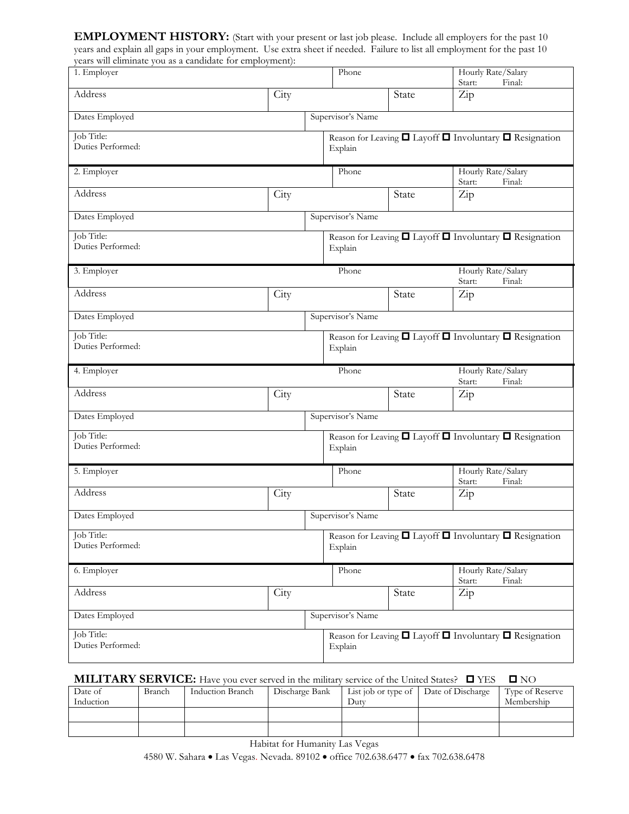**EMPLOYMENT HISTORY:** (Start with your present or last job please. Include all employers for the past 10 years and explain all gaps in your employment. Use extra sheet if needed. Failure to list all employment for the past 10 years will eliminate you as a candidate for employment):

| 1. Employer                     |      | Phone             |       | Hourly Rate/Salary<br>Start:<br>Final:                                 |
|---------------------------------|------|-------------------|-------|------------------------------------------------------------------------|
| Address                         | City |                   | State | Zip                                                                    |
| Dates Employed                  |      | Supervisor's Name |       |                                                                        |
| Job Title:<br>Duties Performed: |      | Explain           |       | Reason for Leaving $\Box$ Layoff $\Box$ Involuntary $\Box$ Resignation |
| 2. Employer                     |      | Phone             |       | Hourly Rate/Salary<br>Start:<br>Final:                                 |
| Address                         | City |                   | State | Zip                                                                    |
| Dates Employed                  |      | Supervisor's Name |       |                                                                        |
| Job Title:<br>Duties Performed: |      | Explain           |       | Reason for Leaving $\Box$ Layoff $\Box$ Involuntary $\Box$ Resignation |
| 3. Employer                     |      | Phone             |       | Hourly Rate/Salary<br>Start:<br>Final:                                 |
| Address                         | City |                   | State | Zip                                                                    |
| Dates Employed                  |      | Supervisor's Name |       |                                                                        |
| Job Title:<br>Duties Performed: |      | Explain           |       | Reason for Leaving $\Box$ Layoff $\Box$ Involuntary $\Box$ Resignation |
|                                 |      |                   |       |                                                                        |
| 4. Employer                     |      | Phone             |       | Hourly Rate/Salary<br>Final:<br>Start:                                 |
| Address                         | City |                   | State | Zip                                                                    |
| Dates Employed                  |      | Supervisor's Name |       |                                                                        |
| Job Title:<br>Duties Performed: |      | Explain           |       | Reason for Leaving $\Box$ Layoff $\Box$ Involuntary $\Box$ Resignation |
| 5. Employer                     |      | Phone             |       | Hourly Rate/Salary<br>Final:<br>Start:                                 |
| Address                         | City |                   | State | Zip                                                                    |
| Dates Employed                  |      | Supervisor's Name |       |                                                                        |
| Job Title:<br>Duties Performed: |      | Explain           |       | Reason for Leaving $\Box$ Layoff $\Box$ Involuntary $\Box$ Resignation |
| 6. Employer                     |      | Phone             |       | Hourly Rate/Salary<br>Final:                                           |
| Address                         | City |                   | State | Start:<br>$\operatorname{Zip}$                                         |
| Dates Employed                  |      | Supervisor's Name |       |                                                                        |

# **MILITARY SERVICE:** Have you ever served in the military service of the United States?  $\Box$  YES  $\Box$  NO

| Date of   | Branch | Induction Branch | Discharge Bank |      | List job or type of Date of Discharge | Type of Reserve |
|-----------|--------|------------------|----------------|------|---------------------------------------|-----------------|
| Induction |        |                  |                | Duty |                                       | Membership      |
|           |        |                  |                |      |                                       |                 |
|           |        |                  |                |      |                                       |                 |

Habitat for Humanity Las Vegas 4580 W. Sahara • Las Vegas. Nevada. 89102 • office 702.638.6477 • fax 702.638.6478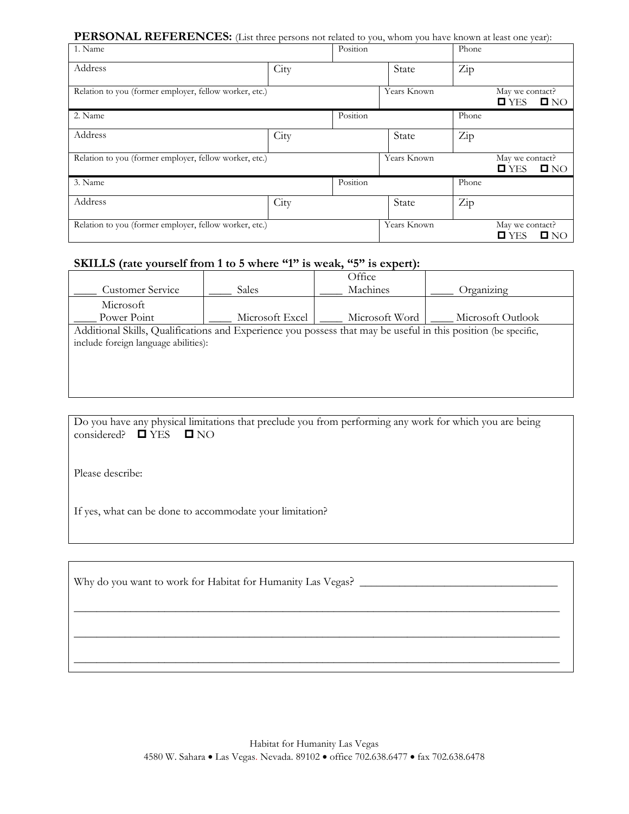## **PERSONAL REFERENCES:** (List three persons not related to you, whom you have known at least one year):

| 1. Name                                                |      | Position |             | Phone                |                                                            |
|--------------------------------------------------------|------|----------|-------------|----------------------|------------------------------------------------------------|
| Address                                                | City |          | State       | Zip                  |                                                            |
| Relation to you (former employer, fellow worker, etc.) |      |          | Years Known |                      | May we contact?<br>$\square$ YES<br>$\square$ NO           |
| 2. Name                                                |      | Position |             | Phone                |                                                            |
| Address                                                | City |          | State       | $\operatorname{Zip}$ |                                                            |
| Relation to you (former employer, fellow worker, etc.) |      |          | Years Known |                      | May we contact?<br>$\blacksquare$ YES<br>$\square$ NO      |
| 3. Name                                                |      | Position |             | Phone                |                                                            |
| Address                                                | City |          | State       | Zip                  |                                                            |
| Relation to you (former employer, fellow worker, etc.) |      |          | Years Known |                      | May we contact?<br>$\blacksquare$ NO<br>$\blacksquare$ YES |

# **SKILLS (rate yourself from 1 to 5 where "1" is weak, "5" is expert):**

|                                                                                                                |                 | Office         |                   |
|----------------------------------------------------------------------------------------------------------------|-----------------|----------------|-------------------|
| <b>Customer Service</b>                                                                                        | <b>Sales</b>    | Machines       | Organizing        |
| Microsoft                                                                                                      |                 |                |                   |
| Power Point                                                                                                    | Microsoft Excel | Microsoft Word | Microsoft Outlook |
| Additional Skills, Qualifications and Experience you possess that may be useful in this position (be specific, |                 |                |                   |
| include foreign language abilities):                                                                           |                 |                |                   |
|                                                                                                                |                 |                |                   |
|                                                                                                                |                 |                |                   |
|                                                                                                                |                 |                |                   |

| Do you have any physical limitations that preclude you from performing any work for which you are being |  |  |  |
|---------------------------------------------------------------------------------------------------------|--|--|--|
| considered? $\Box$ YES $\Box$ NO                                                                        |  |  |  |

Please describe:

If yes, what can be done to accommodate your limitation?

Why do you want to work for Habitat for Humanity Las Vegas? \_\_\_\_\_\_\_\_\_\_\_\_\_\_\_\_\_\_\_\_\_\_\_\_\_\_\_\_\_\_\_\_\_\_\_

\_\_\_\_\_\_\_\_\_\_\_\_\_\_\_\_\_\_\_\_\_\_\_\_\_\_\_\_\_\_\_\_\_\_\_\_\_\_\_\_\_\_\_\_\_\_\_\_\_\_\_\_\_\_\_\_\_\_\_\_\_\_\_\_\_\_\_\_\_\_\_\_\_\_\_\_\_\_\_\_\_\_\_\_\_\_

\_\_\_\_\_\_\_\_\_\_\_\_\_\_\_\_\_\_\_\_\_\_\_\_\_\_\_\_\_\_\_\_\_\_\_\_\_\_\_\_\_\_\_\_\_\_\_\_\_\_\_\_\_\_\_\_\_\_\_\_\_\_\_\_\_\_\_\_\_\_\_\_\_\_\_\_\_\_\_\_\_\_\_\_\_\_

\_\_\_\_\_\_\_\_\_\_\_\_\_\_\_\_\_\_\_\_\_\_\_\_\_\_\_\_\_\_\_\_\_\_\_\_\_\_\_\_\_\_\_\_\_\_\_\_\_\_\_\_\_\_\_\_\_\_\_\_\_\_\_\_\_\_\_\_\_\_\_\_\_\_\_\_\_\_\_\_\_\_\_\_\_\_